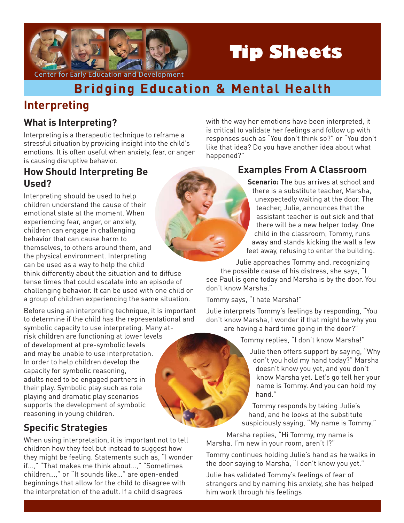

# **Tip Sheets**

with the way her emotions have been interpreted, it is critical to validate her feelings and follow up with responses such as "You don't think so?" or "You don't like that idea? Do you have another idea about what

# **Bridging Education & Mental Health**

## **Interpreting**

#### **What is Interpreting?**

Interpreting is a therapeutic technique to reframe a stressful situation by providing insight into the child's emotions. It is often useful when anxiety, fear, or anger is causing disruptive behavior.

#### **How Should Interpreting Be Used?**

Interpreting should be used to help children understand the cause of their emotional state at the moment. When experiencing fear, anger, or anxiety, children can engage in challenging behavior that can cause harm to themselves, to others around them, and the physical environment. Interpreting can be used as a way to help the child

think differently about the situation and to diffuse tense times that could escalate into an episode of challenging behavior. It can be used with one child or a group of children experiencing the same situation.

Before using an interpreting technique, it is important to determine if the child has the representational and symbolic capacity to use interpreting. Many atrisk children are functioning at lower levels of development at pre-symbolic levels and may be unable to use interpretation. In order to help children develop the capacity for symbolic reasoning, adults need to be engaged partners in their play. Symbolic play such as role playing and dramatic play scenarios supports the development of symbolic reasoning in young children.

## **Specific Strategies**

When using interpretation, it is important not to tell children how they feel but instead to suggest how they might be feeling. Statements such as, "I wonder if…," "That makes me think about…," "Sometimes children…," or "It sounds like…" are open-ended beginnings that allow for the child to disagree with the interpretation of the adult. If a child disagrees

happened?"

## **Examples From A Classroom**

**Scenario:** The bus arrives at school and there is a substitute teacher, Marsha, unexpectedly waiting at the door. The teacher, Julie, announces that the assistant teacher is out sick and that there will be a new helper today. One child in the classroom, Tommy, runs away and stands kicking the wall a few feet away, refusing to enter the building.

Julie approaches Tommy and, recognizing the possible cause of his distress, she says, "I see Paul is gone today and Marsha is by the door. You don't know Marsha."

Tommy says, "I hate Marsha!"

Julie interprets Tommy's feelings by responding, "You don't know Marsha, I wonder if that might be why you are having a hard time going in the door?"

Tommy replies, "I don't know Marsha!"

Julie then offers support by saying, "Why don't you hold my hand today?" Marsha doesn't know you yet, and you don't know Marsha yet. Let's go tell her your name is Tommy. And you can hold my hand."

Tommy responds by taking Julie's hand, and he looks at the substitute suspiciously saying, "My name is Tommy."

Marsha replies, "Hi Tommy, my name is Marsha. I'm new in your room, aren't I?"

Tommy continues holding Julie's hand as he walks in the door saying to Marsha, "I don't know you yet."

Julie has validated Tommy's feelings of fear of strangers and by naming his anxiety, she has helped him work through his feelings